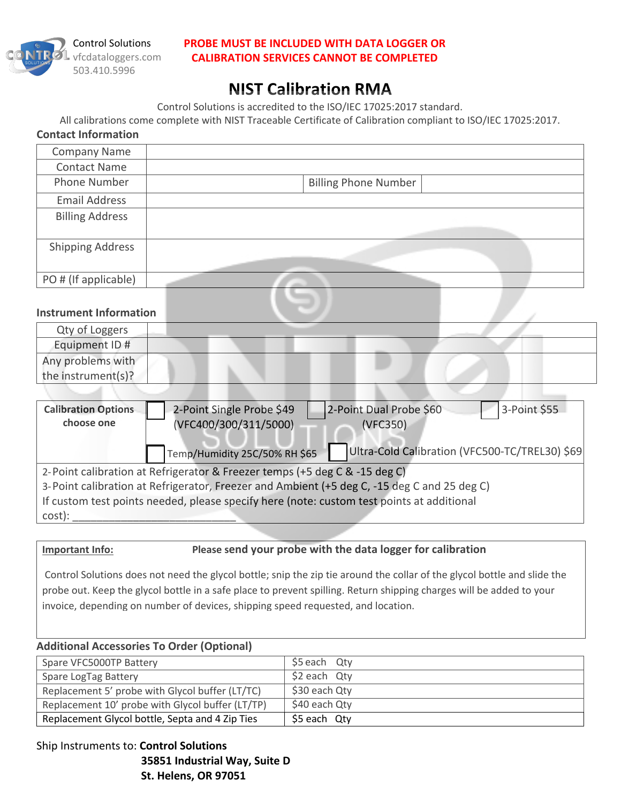

### **PROBE MUST BE INCLUDED WITH DATA LOGGER OR CALIBRATION SERVICES CANNOT BE COMPLETED**

# **NIST Calibration RMA**

Control Solutions is accredited to the ISO/IEC 17025:2017 standard.

All calibrations come complete with NIST Traceable Certificate of Calibration compliant to ISO/IEC 17025:2017.

| <b>Contact Information</b>    |                             |
|-------------------------------|-----------------------------|
| <b>Company Name</b>           |                             |
| <b>Contact Name</b>           |                             |
| Phone Number                  | <b>Billing Phone Number</b> |
| <b>Email Address</b>          |                             |
| <b>Billing Address</b>        |                             |
|                               |                             |
| <b>Shipping Address</b>       |                             |
|                               |                             |
| PO # (If applicable)          |                             |
|                               |                             |
| <b>Instrument Information</b> |                             |

## Qty of Loggers Equipment ID # Any problems with the instrument(s)?

| <b>Calibration Options</b><br>choose one                                                    | 2-Point Single Probe \$49<br>(VFC400/300/311/5000) | 2-Point Dual Probe \$60<br>3-Point \$55<br>(VFC350) |  |  |
|---------------------------------------------------------------------------------------------|----------------------------------------------------|-----------------------------------------------------|--|--|
|                                                                                             | Temp/Humidity 25C/50% RH \$65                      | Ultra-Cold Calibration (VFC500-TC/TREL30) \$69      |  |  |
| 2-Point calibration at Refrigerator & Freezer temps (+5 deg C & -15 deg C)                  |                                                    |                                                     |  |  |
| 3-Point calibration at Refrigerator, Freezer and Ambient (+5 deg C, -15 deg C and 25 deg C) |                                                    |                                                     |  |  |
| If custom test points needed, please specify here (note: custom test points at additional   |                                                    |                                                     |  |  |
| cost):                                                                                      |                                                    |                                                     |  |  |

### **Important Info: Please send your probe with the data logger for calibration**

Control Solutions does not need the glycol bottle; snip the zip tie around the collar of the glycol bottle and slide the probe out. Keep the glycol bottle in a safe place to prevent spilling. Return shipping charges will be added to your invoice, depending on number of devices, shipping speed requested, and location.

### **Additional Accessories To Order (Optional)**

| Spare VFC5000TP Battery                          | \$5 each Qty     |
|--------------------------------------------------|------------------|
| Spare LogTag Battery                             | $$2$ each $Q$ ty |
| Replacement 5' probe with Glycol buffer (LT/TC)  | \$30 each Qty    |
| Replacement 10' probe with Glycol buffer (LT/TP) | \$40 each Qty    |
| Replacement Glycol bottle, Septa and 4 Zip Ties  | \$5 each Qty     |

Ship Instruments to: **Control Solutions 35851 Industrial Way, Suite D St. Helens, OR 97051**